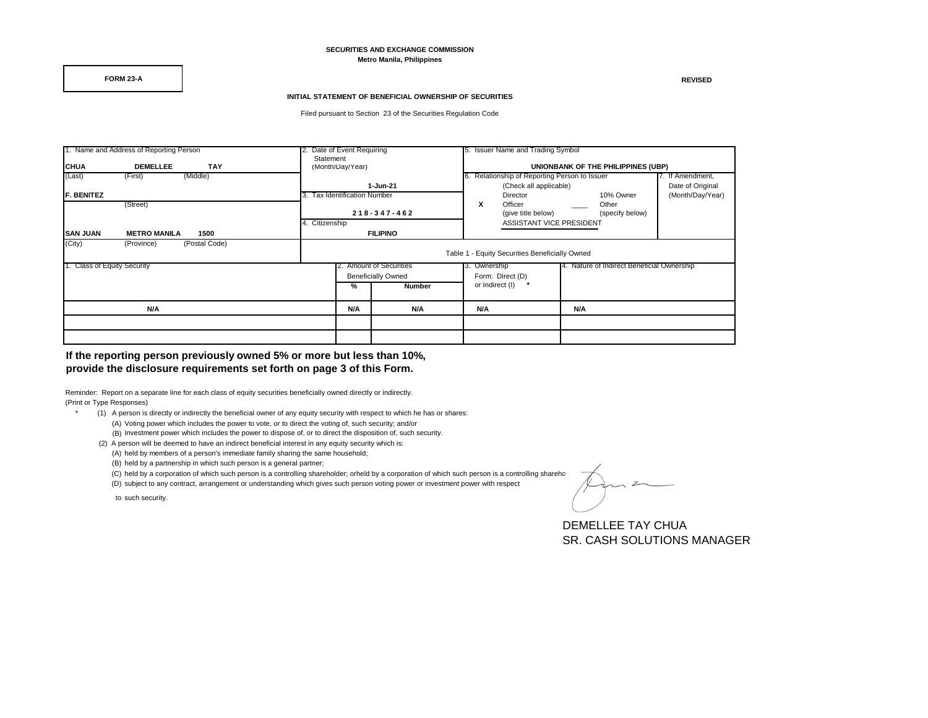#### **SECURITIES AND EXCHANGE COMMISSION Metro Manila, Philippines**

#### **FORM 23-A REVISED**

#### **INITIAL STATEMENT OF BENEFICIAL OWNERSHIP OF SECURITIES**

Filed pursuant to Section 23 of the Securities Regulation Code

| 1. Name and Address of Reporting Person |                | 2. Date of Event Requiring                     |                   | 5. Issuer Name and Trading Symbol  |                    |               |                                            |                  |  |
|-----------------------------------------|----------------|------------------------------------------------|-------------------|------------------------------------|--------------------|---------------|--------------------------------------------|------------------|--|
|                                         |                | Statement                                      |                   |                                    |                    |               |                                            |                  |  |
| CHUA<br><b>DEMELLEE</b>                 | <b>TAY</b>     | (Month/Day/Year)                               |                   | UNIONBANK OF THE PHILIPPINES (UBP) |                    |               |                                            |                  |  |
| (Last)<br>(Middle)<br>(First)           |                | 6. Relationship of Reporting Person to Issuer  |                   |                                    |                    | If Amendment, |                                            |                  |  |
|                                         |                |                                                | 1-Jun-21          | (Check all applicable)             |                    |               |                                            | Date of Original |  |
| <b>F. BENITEZ</b>                       |                | 3. Tax Identification Number                   |                   |                                    | Director           |               | 10% Owner                                  | (Month/Day/Year) |  |
| (Street)                                |                |                                                |                   | x                                  | Officer            |               | Other                                      |                  |  |
|                                         |                |                                                | $218 - 347 - 462$ |                                    | (give title below) |               | (specity below)                            |                  |  |
|                                         | 4. Citizenship |                                                |                   | ASSISTANT VICE PRESIDENT           |                    |               |                                            |                  |  |
| <b>SAN JUAN</b><br><b>METRO MANILA</b>  | 1500           | <b>FILIPINO</b>                                |                   |                                    |                    |               |                                            |                  |  |
| (City)<br>(Province)                    | (Postal Code)  |                                                |                   |                                    |                    |               |                                            |                  |  |
|                                         |                | Table 1 - Equity Securities Beneficially Owned |                   |                                    |                    |               |                                            |                  |  |
| 1. Class of Equity Security             |                | 2. Amount of Securities                        |                   | 3. Ownership                       |                    |               | 4. Nature of Indirect Beneficial Ownership |                  |  |
|                                         |                | <b>Beneficially Owned</b>                      |                   | Form: Direct (D)                   |                    |               |                                            |                  |  |
|                                         |                | %                                              | <b>Number</b>     |                                    | or Indirect (I)    |               |                                            |                  |  |
|                                         |                |                                                |                   |                                    |                    |               |                                            |                  |  |
| N/A                                     |                | N/A                                            | N/A               | N/A                                |                    | <b>N/A</b>    |                                            |                  |  |
|                                         |                |                                                |                   |                                    |                    |               |                                            |                  |  |
|                                         |                |                                                |                   |                                    |                    |               |                                            |                  |  |

**If the reporting person previously owned 5% or more but less than 10%, provide the disclosure requirements set forth on page 3 of this Form.** 

Reminder: Report on a separate line for each class of equity securities beneficially owned directly or indirectly. (Print or Type Responses)

- (1) A person is directly or indirectly the beneficial owner of any equity security with respect to which he has or shares: (A) Voting power which includes the power to vote, or to direct the voting of, such security; and/or
	- (B) Investment power which includes the power to dispose of, or to direct the disposition of, such security.
- (2) A person will be deemed to have an indirect beneficial interest in any equity security which is:
- (A) held by members of a person's immediate family sharing the same household;
- (B) held by a partnership in which such person is a general partner;
- (C) held by a corporation of which such person is a controlling shareholder; orheld by a corporation of which such person is a controlling shareholder; or
- (D) subject to any contract, arrangement or understanding which gives such person voting power or investment power with respect

to such security.

SR. CASH SOLUTIONS MANAGER DEMELLEE TAY CHUA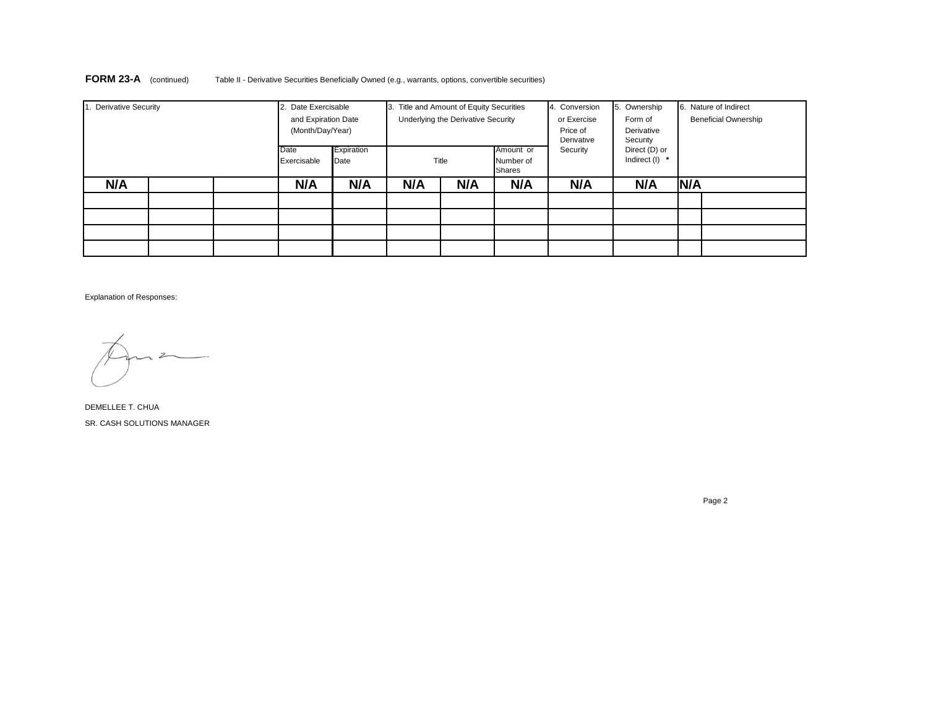# **FORM 23-A** (continued) Table II - Derivative Securities Beneficially Owned (e.g., warrants, options, convertible securities)

| 1. Derivative Security |  | 2. Date Exercisable<br>and Expiration Date<br>(Month/Day/Year) |      | 3. Title and Amount of Equity Securities<br>Underlying the Derivative Security |     |           | 4. Conversion<br>or Exercise<br>Price of<br>Derivative | 5. Ownership<br>Form of<br>Derivative<br>Security | 6. Nature of Indirect<br><b>Beneficial Ownership</b> |     |  |
|------------------------|--|----------------------------------------------------------------|------|--------------------------------------------------------------------------------|-----|-----------|--------------------------------------------------------|---------------------------------------------------|------------------------------------------------------|-----|--|
|                        |  |                                                                | Date | Expiration                                                                     |     |           | Amount or                                              | Security                                          | Direct (D) or                                        |     |  |
|                        |  | Exercisable                                                    | Date | Title<br>Shares                                                                |     | Number of | Indirect (I)                                           |                                                   |                                                      |     |  |
| N/A                    |  |                                                                | N/A  | N/A                                                                            | N/A | N/A       | N/A                                                    | N/A                                               | N/A                                                  | N/A |  |
|                        |  |                                                                |      |                                                                                |     |           |                                                        |                                                   |                                                      |     |  |
|                        |  |                                                                |      |                                                                                |     |           |                                                        |                                                   |                                                      |     |  |
|                        |  |                                                                |      |                                                                                |     |           |                                                        |                                                   |                                                      |     |  |
|                        |  |                                                                |      |                                                                                |     |           |                                                        |                                                   |                                                      |     |  |

Explanation of Responses:

 $\mathbb{Z}$ 

DEMELLEE T. CHUA SR. CASH SOLUTIONS MANAGER

Page 2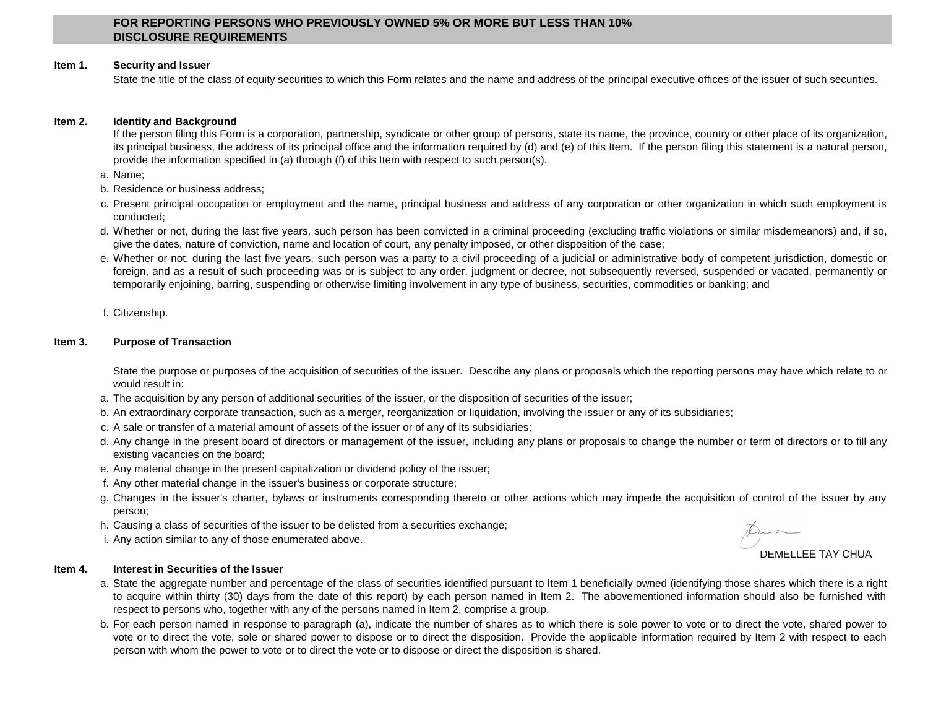# **FOR REPORTING PERSONS WHO PREVIOUSLY OWNED 5% OR MORE BUT LESS THAN 10% DISCLOSURE REQUIREMENTS**

## **Item 1. Security and Issuer**

State the title of the class of equity securities to which this Form relates and the name and address of the principal executive offices of the issuer of such securities.

## **Item 2. Identity and Background**

If the person filing this Form is a corporation, partnership, syndicate or other group of persons, state its name, the province, country or other place of its organization, its principal business, the address of its principal office and the information required by (d) and (e) of this Item. If the person filing this statement is a natural person, provide the information specified in (a) through (f) of this Item with respect to such person(s).

- a. Name;
- b. Residence or business address;
- c. Present principal occupation or employment and the name, principal business and address of any corporation or other organization in which such employment is conducted;
- d. Whether or not, during the last five years, such person has been convicted in a criminal proceeding (excluding traffic violations or similar misdemeanors) and, if so, give the dates, nature of conviction, name and location of court, any penalty imposed, or other disposition of the case;
- e. Whether or not, during the last five years, such person was a party to a civil proceeding of a judicial or administrative body of competent jurisdiction, domestic or foreign, and as a result of such proceeding was or is subject to any order, judgment or decree, not subsequently reversed, suspended or vacated, permanently or temporarily enjoining, barring, suspending or otherwise limiting involvement in any type of business, securities, commodities or banking; and
- f. Citizenship.

## **Item 3. Purpose of Transaction**

State the purpose or purposes of the acquisition of securities of the issuer. Describe any plans or proposals which the reporting persons may have which relate to or would result in:

- a. The acquisition by any person of additional securities of the issuer, or the disposition of securities of the issuer;
- b. An extraordinary corporate transaction, such as a merger, reorganization or liquidation, involving the issuer or any of its subsidiaries;
- c. A sale or transfer of a material amount of assets of the issuer or of any of its subsidiaries;
- d. Any change in the present board of directors or management of the issuer, including any plans or proposals to change the number or term of directors or to fill any existing vacancies on the board;
- e. Any material change in the present capitalization or dividend policy of the issuer;
- f. Any other material change in the issuer's business or corporate structure;
- g. Changes in the issuer's charter, bylaws or instruments corresponding thereto or other actions which may impede the acquisition of control of the issuer by any person;
- h. Causing a class of securities of the issuer to be delisted from a securities exchange;
- i. Any action similar to any of those enumerated above.

# **Item 4. Interest in Securities of the Issuer**

- a. State the aggregate number and percentage of the class of securities identified pursuant to Item 1 beneficially owned (identifying those shares which there is a right to acquire within thirty (30) days from the date of this report) by each person named in Item 2. The abovementioned information should also be furnished with respect to persons who, together with any of the persons named in Item 2, comprise a group.
- b. For each person named in response to paragraph (a), indicate the number of shares as to which there is sole power to vote or to direct the vote, shared power to vote or to direct the vote, sole or shared power to dispose or to direct the disposition. Provide the applicable information required by Item 2 with respect to each person with whom the power to vote or to direct the vote or to dispose or direct the disposition is shared.

DEMELLEE TAY CHUA